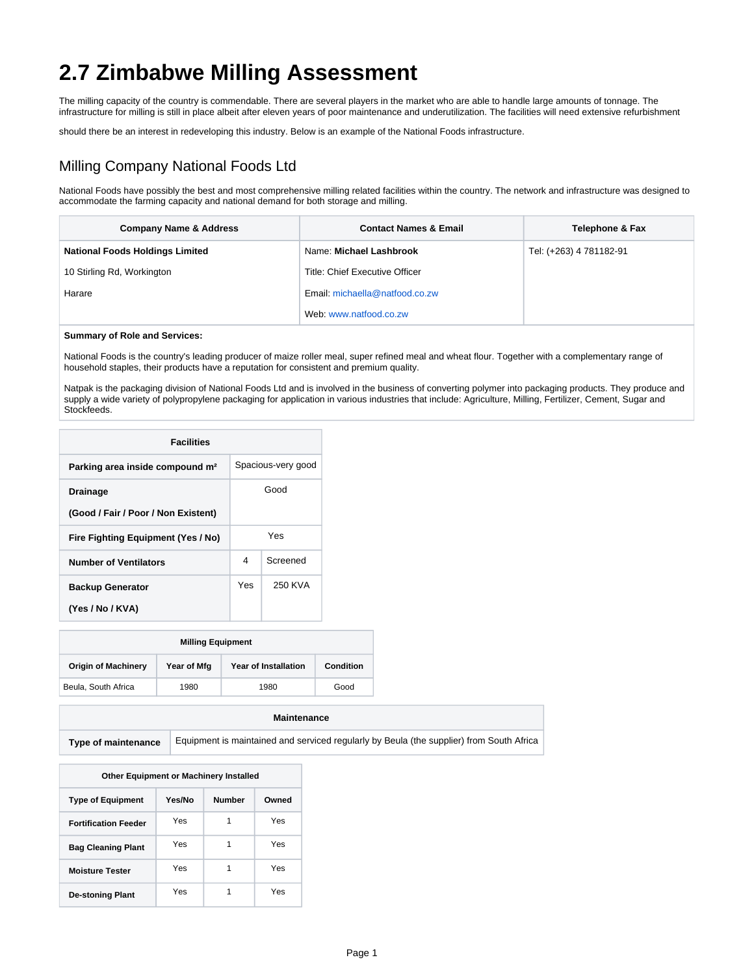# **2.7 Zimbabwe Milling Assessment**

The milling capacity of the country is commendable. There are several players in the market who are able to handle large amounts of tonnage. The infrastructure for milling is still in place albeit after eleven years of poor maintenance and underutilization. The facilities will need extensive refurbishment

should there be an interest in redeveloping this industry. Below is an example of the National Foods infrastructure.

# Milling Company National Foods Ltd

National Foods have possibly the best and most comprehensive milling related facilities within the country. The network and infrastructure was designed to accommodate the farming capacity and national demand for both storage and milling.

| <b>Company Name &amp; Address</b>      | <b>Contact Names &amp; Email</b> | <b>Telephone &amp; Fax</b> |
|----------------------------------------|----------------------------------|----------------------------|
| <b>National Foods Holdings Limited</b> | Name: Michael Lashbrook          | Tel: (+263) 4 781182-91    |
| 10 Stirling Rd, Workington             | Title: Chief Executive Officer   |                            |
| Harare                                 | Email: michaella@natfood.co.zw   |                            |
|                                        | Web: www.natfood.co.zw           |                            |

#### **Summary of Role and Services:**

National Foods is the country's leading producer of maize roller meal, super refined meal and wheat flour. Together with a complementary range of household staples, their products have a reputation for consistent and premium quality.

Natpak is the packaging division of National Foods Ltd and is involved in the business of converting polymer into packaging products. They produce and supply a wide variety of polypropylene packaging for application in various industries that include: Agriculture, Milling, Fertilizer, Cement, Sugar and Stockfeeds.

| <b>Facilities</b>                                      |      |                    |  |
|--------------------------------------------------------|------|--------------------|--|
| Parking area inside compound m <sup>2</sup>            |      | Spacious-very good |  |
| <b>Drainage</b><br>(Good / Fair / Poor / Non Existent) | Good |                    |  |
| Fire Fighting Equipment (Yes / No)                     |      | Yes                |  |
| <b>Number of Ventilators</b>                           | 4    | Screened           |  |
| <b>Backup Generator</b><br>(Yes / No / KVA)            | Yes  | 250 KVA            |  |

| <b>Milling Equipment</b>                                                              |      |      |      |
|---------------------------------------------------------------------------------------|------|------|------|
| <b>Origin of Machinery</b><br><b>Year of Installation</b><br>Year of Mfg<br>Condition |      |      |      |
| Beula, South Africa                                                                   | 1980 | 1980 | Good |

#### **Maintenance**

**Type of maintenance** Equipment is maintained and serviced regularly by Beula (the supplier) from South Africa

| <b>Other Equipment or Machinery Installed</b> |        |               |       |  |
|-----------------------------------------------|--------|---------------|-------|--|
|                                               |        |               |       |  |
| <b>Type of Equipment</b>                      | Yes/No | <b>Number</b> | Owned |  |
| <b>Fortification Feeder</b>                   | Yes    | 1             | Yes   |  |
| <b>Bag Cleaning Plant</b>                     | Yes    | 1             | Yes   |  |
| <b>Moisture Tester</b>                        | Yes    | 1             | Yes   |  |
| <b>De-stoning Plant</b>                       | Yes    | 1             | Yes   |  |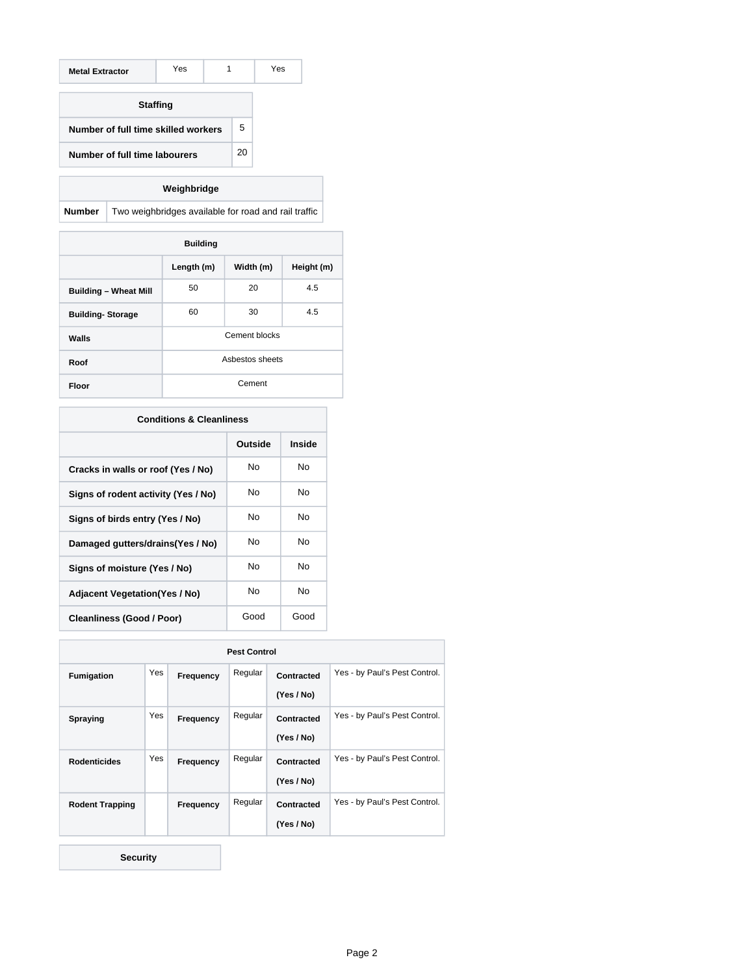| <b>Metal Extractor</b>              | Yes | 1 |    | Yes |
|-------------------------------------|-----|---|----|-----|
| <b>Staffing</b>                     |     |   |    |     |
| Number of full time skilled workers |     |   | 5  |     |
| Number of full time labourers       |     |   | 20 |     |

# **Weighbridge**

**Number** Two weighbridges available for road and rail traffic

| <b>Building</b>              |                                       |    |     |  |  |
|------------------------------|---------------------------------------|----|-----|--|--|
|                              | Height (m)<br>Length (m)<br>Width (m) |    |     |  |  |
| <b>Building - Wheat Mill</b> | 50                                    | 20 | 4.5 |  |  |
| <b>Building-Storage</b>      | 60<br>30<br>4.5                       |    |     |  |  |
| Walls                        | Cement blocks                         |    |     |  |  |
| Roof                         | Asbestos sheets                       |    |     |  |  |
| Floor                        | Cement                                |    |     |  |  |

| <b>Conditions &amp; Cleanliness</b>   |      |      |  |  |  |
|---------------------------------------|------|------|--|--|--|
| Inside<br>Outside                     |      |      |  |  |  |
| Cracks in walls or roof (Yes / No)    | No   | No   |  |  |  |
| Signs of rodent activity (Yes / No)   | No   | No   |  |  |  |
| Signs of birds entry (Yes / No)       | N٥   | N٥   |  |  |  |
| Damaged gutters/drains(Yes / No)      | No   | No   |  |  |  |
| Signs of moisture (Yes / No)          | No   | No   |  |  |  |
| <b>Adjacent Vegetation (Yes / No)</b> | No   | No   |  |  |  |
| Cleanliness (Good / Poor)             | Good | Good |  |  |  |

| <b>Pest Control</b>    |     |           |         |            |                               |
|------------------------|-----|-----------|---------|------------|-------------------------------|
| <b>Fumigation</b>      | Yes | Frequency | Regular | Contracted | Yes - by Paul's Pest Control. |
|                        |     |           |         | (Yes / No) |                               |
| Spraying               | Yes | Frequency | Regular | Contracted | Yes - by Paul's Pest Control. |
|                        |     |           |         | (Yes / No) |                               |
| <b>Rodenticides</b>    | Yes | Frequency | Regular | Contracted | Yes - by Paul's Pest Control. |
|                        |     |           |         | (Yes / No) |                               |
| <b>Rodent Trapping</b> |     | Frequency | Regular | Contracted | Yes - by Paul's Pest Control. |
|                        |     |           |         | (Yes / No) |                               |

**Security**